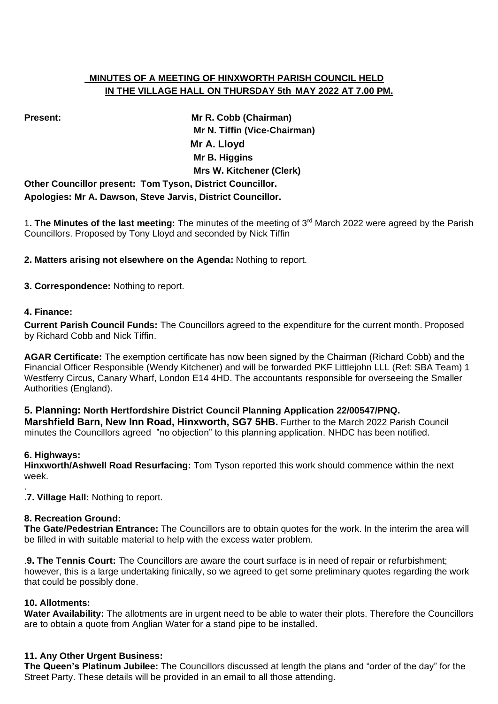# **MINUTES OF A MEETING OF HINXWORTH PARISH COUNCIL HELD IN THE VILLAGE HALL ON THURSDAY 5th MAY 2022 AT 7.00 PM.**

**Present: Mr R. Cobb (Chairman) Mr N. Tiffin (Vice-Chairman) Mr A. Lloyd Mr B. Higgins Mrs W. Kitchener (Clerk)**

**Other Councillor present: Tom Tyson, District Councillor. Apologies: Mr A. Dawson, Steve Jarvis, District Councillor.**

1**. The Minutes of the last meeting:** The minutes of the meeting of 3 rd March 2022 were agreed by the Parish Councillors. Proposed by Tony Lloyd and seconded by Nick Tiffin

**2. Matters arising not elsewhere on the Agenda:** Nothing to report.

**3. Correspondence:** Nothing to report.

## **4. Finance:**

**Current Parish Council Funds:** The Councillors agreed to the expenditure for the current month. Proposed by Richard Cobb and Nick Tiffin.

**AGAR Certificate:** The exemption certificate has now been signed by the Chairman (Richard Cobb) and the Financial Officer Responsible (Wendy Kitchener) and will be forwarded PKF Littlejohn LLL (Ref: SBA Team) 1 Westferry Circus, Canary Wharf, London E14 4HD. The accountants responsible for overseeing the Smaller Authorities (England).

## **5. Planning: North Hertfordshire District Council Planning Application 22/00547/PNQ.**

**Marshfield Barn, New Inn Road, Hinxworth, SG7 5HB.** Further to the March 2022 Parish Council minutes the Councillors agreed "no objection" to this planning application. NHDC has been notified.

## **6. Highways:**

**Hinxworth/Ashwell Road Resurfacing:** Tom Tyson reported this work should commence within the next week.

. .**7. Village Hall:** Nothing to report.

## **8. Recreation Ground:**

**The Gate/Pedestrian Entrance:** The Councillors are to obtain quotes for the work. In the interim the area will be filled in with suitable material to help with the excess water problem.

.**9. The Tennis Court:** The Councillors are aware the court surface is in need of repair or refurbishment; however, this is a large undertaking finically, so we agreed to get some preliminary quotes regarding the work that could be possibly done.

## **10. Allotments:**

**Water Availability:** The allotments are in urgent need to be able to water their plots. Therefore the Councillors are to obtain a quote from Anglian Water for a stand pipe to be installed.

## **11. Any Other Urgent Business:**

**The Queen's Platinum Jubilee:** The Councillors discussed at length the plans and "order of the day" for the Street Party. These details will be provided in an email to all those attending.